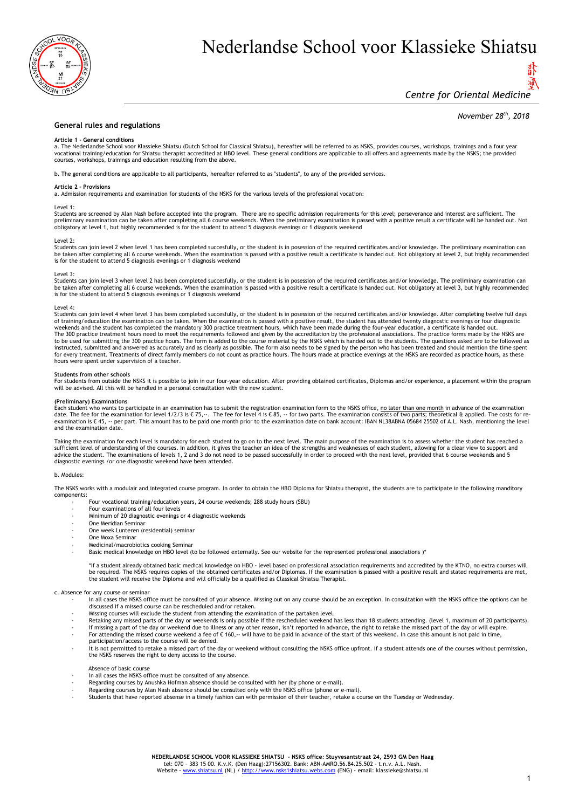

# Nederlandse School voor Klassieke Shiatsu

## 優 *Centre for Oriental Medicine*

### *November 28th , 2018*

#### **General rules and regulations**

#### **Article 1 - General conditions**

a. The Nederlandse School voor Klassieke Shiatsu (Dutch School for Classical Shiatsu), hereafter will be referred to as NSKS, provides courses, workshops, trainings and a four year vocational training/education for Shiatsu therapist accredited at HBO level. These general conditions are applicable to all offers and agreements made by the NSKS; the provided courses, workshops, trainings and education resulting from the above.

b. The general conditions are applicable to all participants, hereafter referred to as "students", to any of the provided services.

#### **Article 2 – Provisions**

a. Admission requirements and examination for students of the NSKS for the various levels of the professional vocation:

#### Level 1:

Students are screened by Alan Nash before accepted into the program. There are no specific admission requirements for this level; perseverance and interest are sufficient. The preliminary examination can be taken after completing all 6 course weekends. When the preliminary examination is passed with a positive result a certificate will be handed out. Not<br>obligatory at level 1, but highly recomme

#### Level 2:

Students can join level 2 when level 1 has been completed succesfully, or the student is in posession of the required certificates and/or knowledge. The preliminary examination can be taken after completing all 6 course weekends. When the examination is passed with a positive result a certificate is handed out. Not obligatory at level 2, but highly recommended is for the student to attend 5 diagnosis evenings or 1 diagnosis weekend

Level 3:<br>Students can join level 3 when level 2 has been completed succesfully, or the student is in posession of the required certificates and/or knowledge. The preliminary examination can be taken after completing all 6 course weekends. When the examination is passed with a positive result a certificate is handed out. Not obligatory at level 3, but highly recommended<br>is for the student to attend 5 diagnosis

#### Level 4:

Students can join level 4 when level 3 has been completed succesfully, or the student is in posession of the required certificates and/or knowledge. After completing twelve full days<br>of training/education the examination c weekends and the student has completed the mandatory 300 practice treatment hours, which have been made during the four-year education, a certificate is handed out.<br>The 300 practice treatment hours need to meet the require to be used for submitting the 300 practice hours. The form is added to the course material by the NSKS which is handed out to the students. The questions asked are to be followed as<br>instructed, submitted and answered as ac for every treatment. Treatments of direct family members do not count as practice hours. The hours made at practice evenings at the NSKS are recorded as practice hours, as these hours were spent under supervision of a teacher.

## **Students from other schools**

For students from outside the NSKS it is possible to join in our four-year education. After providing obtained certificates, Diplomas and/or experience, a placement within the program will be advised. All this will be handled in a personal consultation with the new student

**(Preliminary) Examinations**<br>Each student who wants to participate in an examination has to submit the registration examination form to the NSKS office, <u>no later than one month</u> in advance of the examination date. The fee for the examination for level 1/2/3 is € 75,--. The fee for level 4 is € 85, -- for two parts. The examination consists of two parts; theoretical & applied. The costs for re-<br>examination is € 45, -- per part and the examination date.

Taking the examination for each level is mandatory for each student to go on to the next level. The main purpose of the examination is to assess whether the student has reached a<br>sufficient level of understanding of the co advice the student. The examinations of levels 1, 2 and 3 do not need to be passed successfully in order to proceed with the next level, provided that 6 course weekends and 5 diagnostic evenings /or one diagnostic weekend have been attended.

#### b. Modules:

The NSKS works with a modulair and integrated course program. In order to obtain the HBO Diploma for Shiatsu therapist, the students are to participate in the following manditory components:

- Four vocational training/education years, 24 course weekends; 288 study hours (SBU)
	- Four examinations of all four levels
	- Minimum of 20 diagnostic evenings or 4 diagnostic weekends
	- One Meridian Seminar
	- One week Lunteren (residential) seminar
	- One Moxa Seminar - Medicinal/macrobiotics cooking Seminar
		- Basic medical knowledge on HBO level (to be followed externally. See our website for the represented professional associations )\*

\*If a student already obtained basic medical knowledge on HBO - level based on professional association requirements and accredited by the KTNO, no extra courses will<br>be required. The NSKS requires copies of the obtained c the student will receive the Diploma and will officially be a qualified as Classical Shiatsu Therapist.

#### c. Absence for any course or seminar

- In all cases the NSKS office must be consulted of your absence. Missing out on any course should be an exception. In consultation with the NSKS office the options can be discussed if a missed course can be rescheduled and/or retaken.
- Missing courses will exclude the student from attending the examination of the partaken level.
- Retaking any missed parts of the day or weekends is only possible if the rescheduled weekend has less than 18 students attending. (level 1, maximum of 20 participants).
- If missing a part of the day or weekend due to illness or any other reason, isn't reported in advance, the right to retake the missed part of the day or will expire.
- For attending the missed course weekend a fee of  $\epsilon$  160, $-$  will have to be paid in advance of the start of this weekend. In case this amount is not paid in time, participation/access to the course will be denied.
- 
- It is not permitted to retake a missed part of the day or weekend without consulting the NSKS office upfront. If a student attends one of the courses without permission, the NSKS reserves the right to deny access to the course.

Absence of basic course

- In all cases the NSKS office must be consulted of any absence.
- Regarding courses by Anushka Hofman absence should be consulted with her (by phone or e-mail).
- Regarding courses by Alan Nash absence should be consulted only with the NSKS office (phone or e-mail).
- Students that have reported absense in a timely fashion can with permission of their teacher, retake a course on the Tuesday or Wednesday.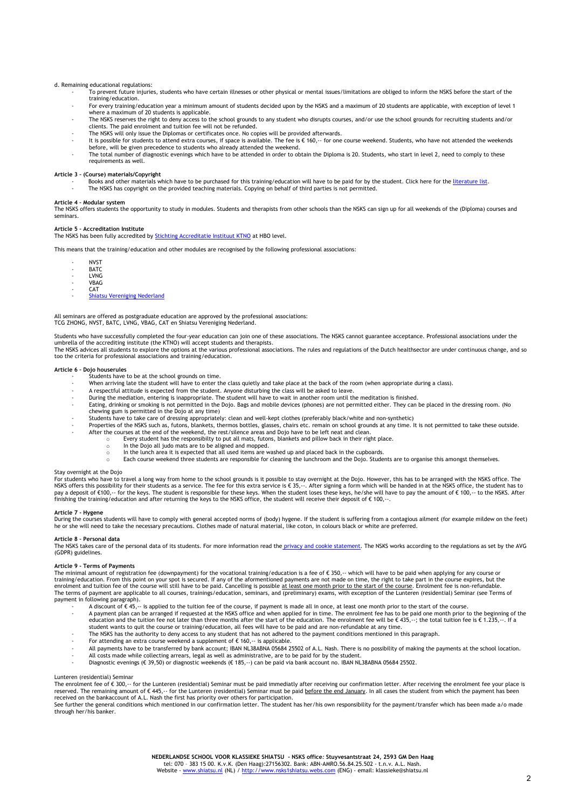#### d. Remaining educational regulations:

- To prevent future injuries, students who have certain illnesses or other physical or mental issues/limitations are obliged to inform the NSKS before the start of the training/education.
- For every training/education year a minimum amount of students decided upon by the NSKS and a maximum of 20 students are applicable, with exception of level 1 where a maximum of 20 students is applicable.
- The NSKS reserves the right to deny access to the school grounds to any student who disrupts courses, and/or use the school grounds for recruiting students and/or clients. The paid enrolment and tuition fee will not be refunded.
- The NSKS will only issue the Diplomas or certificates once. No copies will be provided afterwards.
- It is possible for students to attend extra courses, if space is available. The fee is € 160,-- for one course weekend. Students, who have not attended the weekends before, will be given precedence to students who already attended the weekend.
- The total number of diagnostic evenings which have to be attended in order to obtain the Diploma is 20. Students, who start in level 2, need to comply to these requirements as well.

## **Article 3 – (Course) materials/Copyright**

- Books and other materials which have to be purchased for this training/education will have to be paid for by the student. Click here for th[e literature list.](https://www.shiatsu.nl/boekenlijst/)
- The NSKS has copyright on the provided teaching materials. Copying on behalf of third parties is not permitted.

#### **Article 4 – Modular system**

The NSKS offers students the opportunity to study in modules. Students and therapists from other schools than the NSKS can sign up for all weekends of the (Diploma) courses and seminars.

#### **Article 5 – Accreditation Institute**

The NSKS has been fully accredited b[y Stichting Accreditatie Instituut KTNO](https://ktno.nl/zoeken/nsks) at HBO level.

This means that the training/education and other modules are recognised by the following professional associations:

| NVST        |
|-------------|
| <b>BATC</b> |

- LVNG - VBAG
- CAT
- [Shiatsu Vereniging Nederland](https://www.shiatsuvereniging.nl/)

## All seminars are offered as postgraduate education are approved by the professional associations: TCG ZHONG, NVST, BATC, LVNG, VBAG, CAT en Shiatsu Vereniging Nederland.

Students who have successfully completed the four-year education can join one of these associations. The NSKS cannot guarantee acceptance. Professional associations under the<br>umbrella of the accrediting institute (the KTNO

The NSKS advices all students to explore the options at the various professional associations. The rules and regulations of the Dutch healthsector are under continuous change, and so too the criteria for professional associations and training/education.

#### **Article 6 – Dojo houserules**

- Students have to be at the school grounds on time.
- When arriving late the student will have to enter the class quietly and take place at the back of the room (when appropriate during a class).
- A respectful attitude is expected from the student. Anyone disturbing the class will be asked to leave.
	- During the mediation, entering is inappropriate. The student will have to wait in another room until the meditation is finished.
- Eating, drinking or smoking is not permitted in the Dojo. Bags and mobile devices (phones) are not permitted either. They can be placed in the dressing room. (No chewing gum is permitted in the Dojo at any time)
- Students have to take care of dressing appropriately: clean and well-kept clothes (preferably black/white and non-synthetic)
- Properties of the NSKS such as, futons, blankets, thermos bottles, glasses, chairs etc. remain on school grounds at any time. It is not permitted to take these outside.<br>After the courses at the end of the weekend, the rest
	- Forty student has the responsibilty to put all mats, futons, blankets and pillow back in their right place.<br>
	In the Dojo all judo mats are to be aligned and mopped.
		- In the Dojo all judo mats are to be aligned and mopped.
	- ln the lunch area it is expected that all used items are washed up and placed back in the cupboards.<br>○ Each course weekend three students are responsible for cleaning the lunchroom and the Dojo. Students are to

#### Stay overnight at the Dojo

For students who have to travel a long way from home to the school grounds is it possible to stay overnight at the Dojo. However, this has to be arranged with the NSKS office. The<br>NSKS offers this possibility for their st pay a deposit of €100,-- for the keys. The student is responsible for these keys. When the student loses these keys, he/she will have to pay the amount of € 100,-- to the NSKS. After<br>finishing the training/education and a

#### **Article 7 - Hygene**

During the courses students will have to comply with general accepted norms of (body) hygene. If the student is suffering from a contagious ailment (for example mildew on the feet)<br>he or she will need to take the necessary

#### **Article 8 – Personal data**

The NSKS takes care of the personal data of its students. For more information read the [privacy and cookie](https://www.shiatsu.nl/privacy-en-cookieverklaring/) statement. The NSKS works according to the regulations as set by the AVG (GDPR) guidelines.

### **Article 9 - Terms of Payments**

The minimal amount of registration fee (downpayment) for the vocational training/education is a fee of € 350,-- which will have to be paid when applying for any course or<br>training/education. From this point on your spot i enrolment and tuition fee of the course will still have to be paid. Cancelling is possible <u>at least one month prior to the start of the course</u>. Enrolment fee is non-refundable.<br>The terms of payment are applicable to all payment in following paragraph).

- A discount of  $\epsilon$  45, $\cdot$  is applied to the tuition fee of the course, if payment is made all in once, at least one month prior to the start of the course. A payment plan can be arranged if requested at the NSKS office and when applied for in time. The enrolment fee has to be paid one month prior to the beginning of the<br>education and the tuition fee not later than three mont
- The NSKS has the authority to deny access to any student that has not adhered to the payment conditions mentioned in this paragraph.
- 
- 
- For attending an extra course weekend a supplement of € 160,-- is applicable.<br>- All payments have to be transferred by bank account; IBAN NL38ABNA 05684 25502 of A.L. Nash. There is no possibility of making the payments
- All costs made while collecting arrears, legal as well as administrative, are to be paid for by the student.
- Diagnostic evenings (€ 39,50) or diagnostic weekends (€ 185,--) can be paid via bank account no. IBAN NL38ABNA 05684 25502.

#### Lunteren (residential) Seminar

The enrolment fee of € 300,-- for the Lunteren (residential) Seminar must be paid immediatly after receiving our confirmation letter. After receiving the enrolment fee your place is<br>reserved. The remaining amount of € 445

received on the bankaccount of A.L. Nash the first has priority over others for participation.<br>See further the general conditions which mentioned in our confirmation letter. The student has her/his own responsibility for t through her/his banker.